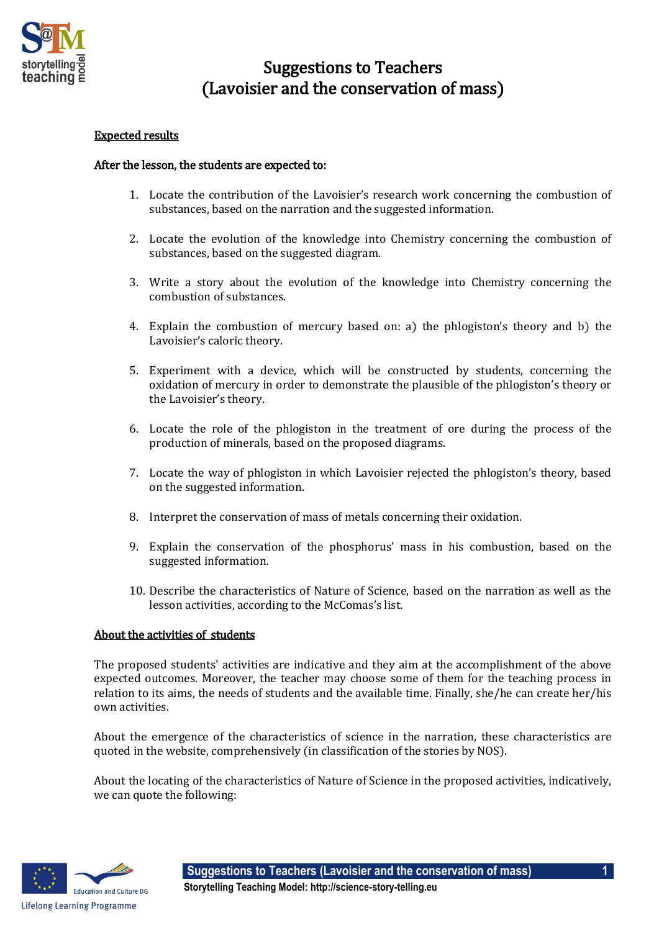

## Suggestions to Teachers (Lavoisier and the conservation of mass)

## Expected results

## After the lesson, the students are expected to:

- 1. Locate the contribution of the Lavoisier's research work concerning the combustion of substances, based on the narration and the suggested information.
- 2. Locate the evolution of the knowledge into Chemistry concerning the combustion of substances, based on the suggested diagram.
- 3. Write a story about the evolution of the knowledge into Chemistry concerning the combustion of substances.
- 4. Explain the combustion of mercury based on: a) the phlogiston's theory and b) the Lavoisier's caloric theory.
- 5. Experiment with a device, which will be constructed by students, concerning the oxidation of mercury in order to demonstrate the plausible of the phlogiston's theory or the Lavoisier's theory.
- 6. Locate the role of the phlogiston in the treatment of ore during the process of the production of minerals, based on the proposed diagrams.
- 7. Locate the way of phlogiston in which Lavoisier rejected the phlogiston's theory, based on the suggested information.
- 8. Interpret the conservation of mass of metals concerning their oxidation.
- 9. Explain the conservation of the phosphorus' mass in his combustion, based on the suggested information.
- 10. Describe the characteristics of Nature of Science, based on the narration as well as the lesson activities, according to the McComas's list.

## About the activities of students

The proposed students' activities are indicative and they aim at the accomplishment of the above expected outcomes. Moreover, the teacher may choose some of them for the teaching process in relation to its aims, the needs of students and the available time. Finally, she/he can create her/his own activities.

About the emergence of the characteristics of science in the narration, these characteristics are quoted in the website, comprehensively (in classification of the stories by NOS).

About the locating of the characteristics of Nature of Science in the proposed activities, indicatively, we can quote the following: